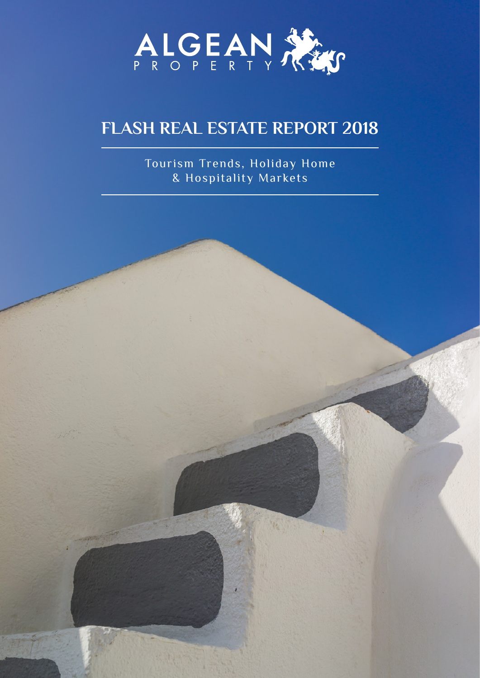

### **FLASH REAL ESTATE REPORT 2018**

Tourism Trends, Holiday Home & Hospitality Markets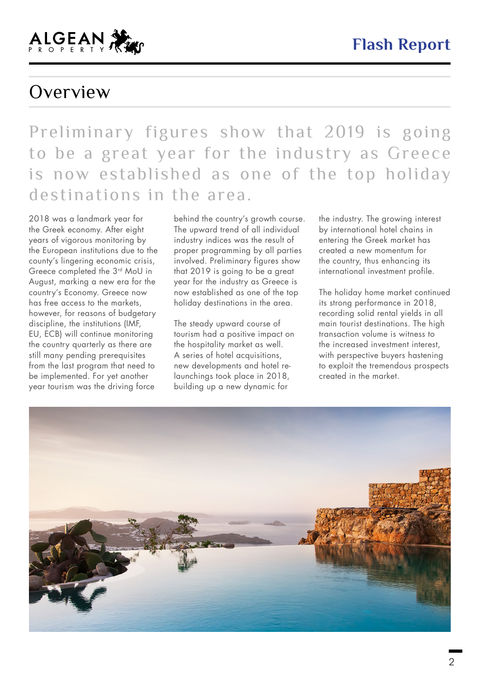### Overview

Preliminary figures show that 2019 is going to be a great year for the industry as Greece is now established as one of the top holiday destinations in the area.

2018 was a landmark year for the Greek economy. After eight years of vigorous monitoring by the European institutions due to the county's lingering economic crisis, Greece completed the 3rd MoU in August, marking a new era for the country's Economy. Greece now has free access to the markets, however, for reasons of budgetary discipline, the institutions (IMF, EU, ECB) will continue monitoring the country quarterly as there are still many pending prerequisites from the last program that need to be implemented. For yet another year tourism was the driving force

behind the country's growth course. The upward trend of all individual industry indices was the result of proper programming by all parties involved. Preliminary figures show that 2019 is going to be a great year for the industry as Greece is now established as one of the top holiday destinations in the area.

The steady upward course of tourism had a positive impact on the hospitality market as well. A series of hotel acquisitions, new developments and hotel relaunchings took place in 2018, building up a new dynamic for

the industry. The growing interest by international hotel chains in entering the Greek market has created a new momentum for the country, thus enhancing its international investment profile.

The holiday home market continued its strong performance in 2018, recording solid rental yields in all main tourist destinations. The high transaction volume is witness to the increased investment interest, with perspective buyers hastening to exploit the tremendous prospects created in the market.

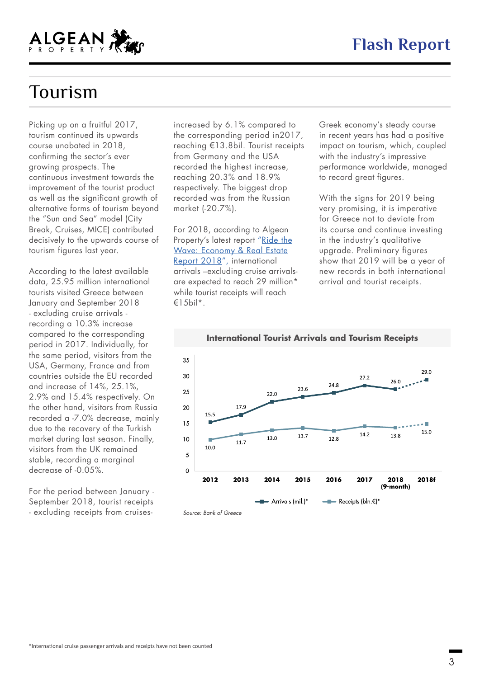

### Tourism

Picking up on a fruitful 2017, tourism continued its upwards course unabated in 2018, confirming the sector's ever growing prospects. The continuous investment towards the improvement of the tourist product as well as the significant growth of alternative forms of tourism beyond the "Sun and Sea" model (City Break, Cruises, MICE) contributed decisively to the upwards course of tourism figures last year.

According to the latest available data, 25.95 million international tourists visited Greece between January and September 2018 - excluding cruise arrivals recording a 10.3% increase compared to the corresponding period in 2017. Individually, for the same period, visitors from the USA, Germany, France and from countries outside the EU recorded and increase of 14%, 25.1%, 2.9% and 15.4% respectively. On the other hand, visitors from Russia recorded a -7.0% decrease, mainly due to the recovery of the Turkish market during last season. Finally, visitors from the UK remained stable, recording a marginal decrease of -0.05%.

For the period between January - September 2018, tourist receipts - excluding receipts from cruisesincreased by 6.1% compared to the corresponding period in2017, reaching €13.8bil. Tourist receipts from Germany and the USA recorded the highest increase, reaching 20.3% and 18.9% respectively. The biggest drop recorded was from the Russian market (-20.7%).

For 2018, according to Algean Property's latest report ["Ride the](http://www.algeanproperty.com/fresheditor/Uploads/dc4324d683e7351914ca41b9512a6db3.pdf) [Wave: Economy & Real Estate](http://www.algeanproperty.com/fresheditor/Uploads/dc4324d683e7351914ca41b9512a6db3.pdf) [Report 2018",](http://www.algeanproperty.com/fresheditor/Uploads/dc4324d683e7351914ca41b9512a6db3.pdf) international arrivals –excluding cruise arrivalsare expected to reach 29 million\* while tourist receipts will reach  $€15$ bil\*.

Greek economy's steady course in recent years has had a positive impact on tourism, which, coupled with the industry's impressive performance worldwide, managed to record great figures.

With the signs for 2019 being very promising, it is imperative for Greece not to deviate from its course and continue investing in the industry's qualitative upgrade. Preliminary figures show that 2019 will be a year of new records in both international arrival and tourist receipts.

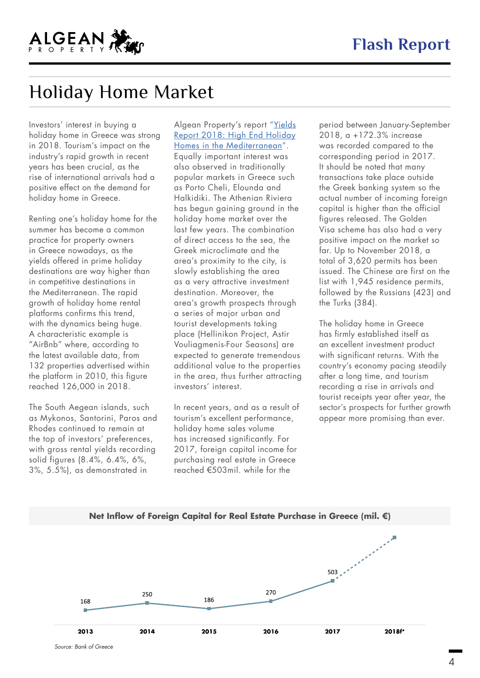

## Holiday Home Market

Investors' interest in buying a holiday home in Greece was strong in 2018. Tourism's impact on the industry's rapid growth in recent years has been crucial, as the rise of international arrivals had a positive effect on the demand for holiday home in Greece.

Renting one's holiday home for the summer has become a common practice for property owners in Greece nowadays, as the yields offered in prime holiday destinations are way higher than in competitive destinations in the Mediterranean. The rapid growth of holiday home rental platforms confirms this trend, with the dynamics being huge. A characteristic example is "AirBnb" where, according to the latest available data, from 132 properties advertised within the platform in 2010, this figure reached 126,000 in 2018.

The South Aegean islands, such as Mykonos, Santorini, Paros and Rhodes continued to remain at the top of investors' preferences, with gross rental yields recording solid figures (8.4%, 6.4%, 6%, 3%, 5.5%), as demonstrated in

#### Algean Property's report ["Yields](http://www.algeanproperty.com/fresheditor/Uploads/7c7e8d560dae574a609dbdc88795da71.pdf) [Report 2018: High End Holiday](http://www.algeanproperty.com/fresheditor/Uploads/7c7e8d560dae574a609dbdc88795da71.pdf) [Homes in the Mediterranean".](http://www.algeanproperty.com/fresheditor/Uploads/7c7e8d560dae574a609dbdc88795da71.pdf)

Equally important interest was also observed in traditionally popular markets in Greece such as Porto Cheli, Elounda and Halkidiki. The Athenian Riviera has begun gaining ground in the holiday home market over the last few years. The combination of direct access to the sea, the Greek microclimate and the area's proximity to the city, is slowly establishing the area as a very attractive investment destination. Moreover, the area's growth prospects through a series of major urban and tourist developments taking place (Hellinikon Project, Astir Vouliagmenis-Four Seasons) are expected to generate tremendous additional value to the properties in the area, thus further attracting investors' interest.

In recent years, and as a result of tourism's excellent performance, holiday home sales volume has increased significantly. For 2017, foreign capital income for purchasing real estate in Greece reached €503mil. while for the

period between January-September 2018, a +172.3% increase was recorded compared to the corresponding period in 2017. It should be noted that many transactions take place outside the Greek banking system so the actual number of incoming foreign capital is higher than the official figures released. The Golden Visa scheme has also had a very positive impact on the market so far. Up to November 2018, a total of 3,620 permits has been issued. The Chinese are first on the list with 1,945 residence permits, followed by the Russians (423) and the Turks (384).

The holiday home in Greece has firmly established itself as an excellent investment product with significant returns. With the country's economy pacing steadily after a long time, and tourism recording a rise in arrivals and tourist receipts year after year, the sector's prospects for further growth appear more promising than ever.

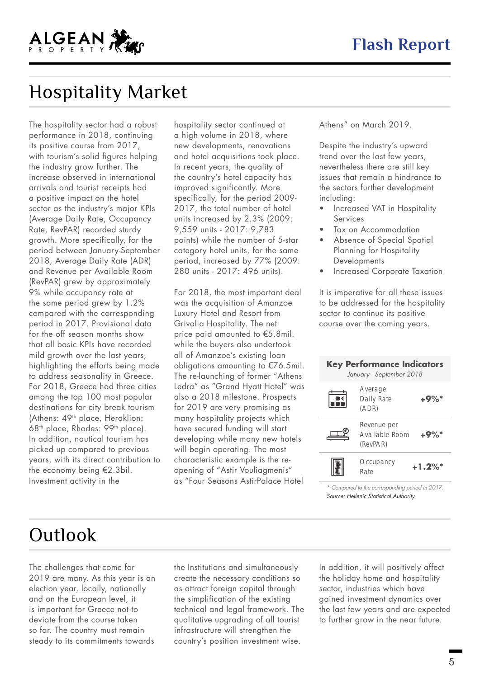

## Hospitality Market

The hospitality sector had a robust performance in 2018, continuing its positive course from 2017, with tourism's solid figures helping the industry grow further. The increase observed in international arrivals and tourist receipts had a positive impact on the hotel sector as the industry's major KPIs (Average Daily Rate, Occupancy Rate, RevPAR) recorded sturdy growth. More specifically, for the period between January-September 2018, Average Daily Rate (ADR) and Revenue per Available Room (RevPAR) grew by approximately 9% while occupancy rate at the same period grew by 1.2% compared with the corresponding period in 2017. Provisional data for the off season months show that all basic KPIs have recorded mild growth over the last years, highlighting the efforts being made to address seasonality in Greece. For 2018, Greece had three cities among the top 100 most popular destinations for city break tourism (Athens: 49<sup>th</sup> place, Heraklion: 68th place, Rhodes: 99th place). In addition, nautical tourism has picked up compared to previous years, with its direct contribution to the economy being €2.3bil. Investment activity in the

hospitality sector continued at a high volume in 2018, where new developments, renovations and hotel acquisitions took place. In recent years, the quality of the country's hotel capacity has improved significantly. More specifically, for the period 2009- 2017, the total number of hotel units increased by 2.3% (2009: 9,559 units - 2017: 9,783 points) while the number of 5-star category hotel units, for the same period, increased by 77% (2009: 280 units - 2017: 496 units).

For 2018, the most important deal was the acquisition of Amanzoe Luxury Hotel and Resort from Grivalia Hospitality. The net price paid amounted to €5.8mil. while the buyers also undertook all of Amanzoe's existing loan obligations amounting to €76.5mil. The re-launching of former "Athens Ledra" as "Grand Hyatt Hotel" was also a 2018 milestone. Prospects for 2019 are very promising as many hospitality projects which have secured funding will start developing while many new hotels will begin operating. The most characteristic example is the reopening of "Astir Vouliagmenis" as "Four Seasons AstirPalace Hotel

Athens" on March 2019.

Despite the industry's upward trend over the last few years, nevertheless there are still key issues that remain a hindrance to the sectors further development including:

- Increased VAT in Hospitality Services
- Tax on Accommodation
- Absence of Special Spatial Planning for Hospitality **Developments**
- Increased Corporate Taxation

It is imperative for all these issues to be addressed for the hospitality sector to continue its positive course over the coming years.

| <b>Key Performance Indicators</b><br>January - September 2018 |                                           |                       |
|---------------------------------------------------------------|-------------------------------------------|-----------------------|
|                                                               | Average<br>Daily Rate<br>(ADR)            | +9%*                  |
|                                                               | Revenue per<br>Available Room<br>(RevPAR) | $+9\%$ *              |
|                                                               | Occupancy<br>Rate                         | $+1.2\%$ <sup>*</sup> |

*\* Compared to the corresponding period in 2017. Source: Hellenic Statistical Authority*

# **Outlook**

The challenges that come for 2019 are many. As this year is an election year, locally, nationally and on the European level, it is important for Greece not to deviate from the course taken so far. The country must remain steady to its commitments towards

the Institutions and simultaneously create the necessary conditions so as attract foreign capital through the simplification of the existing technical and legal framework. The qualitative upgrading of all tourist infrastructure will strengthen the country's position investment wise.

In addition, it will positively affect the holiday home and hospitality sector, industries which have gained investment dynamics over the last few years and are expected to further grow in the near future.